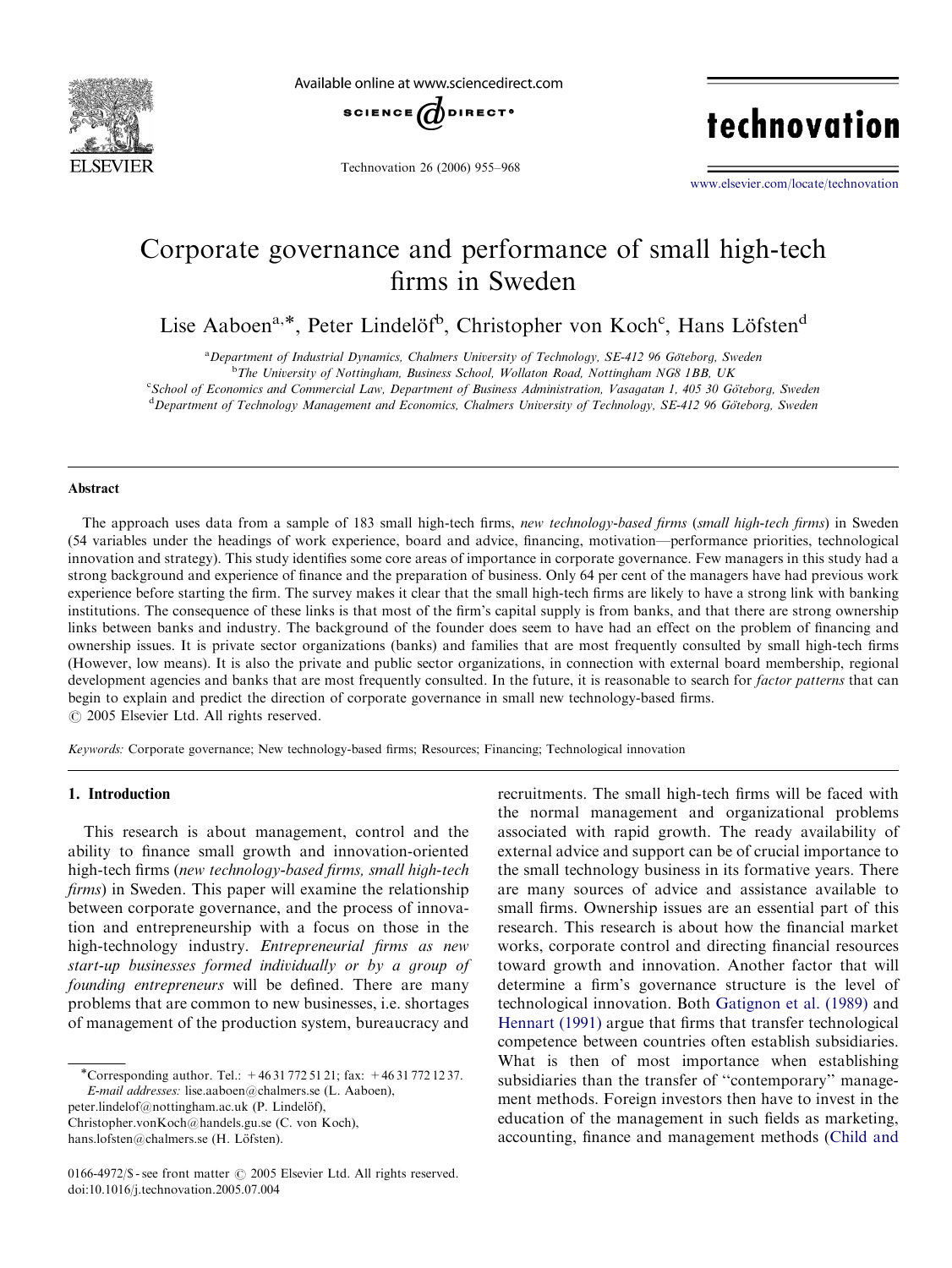

Available online at www.sciencedirect.com



Technovation 26 (2006) 955–968

technovation

<www.elsevier.com/locate/technovation>

## Corporate governance and performance of small high-tech firms in Sweden

Lise Aaboen<sup>a,\*</sup>, Peter Lindelöf<sup>b</sup>, Christopher von Koch<sup>c</sup>, Hans Löfsten<sup>d</sup>

<sup>a</sup> Department of Industrial Dynamics, Chalmers University of Technology, SE-412 96 Göteborg, Sweden<br><sup>b</sup> The University of Nottingham, Business School, Wollaton Road, Nottingham NG8 LBB, UK

<sup>b</sup>The University of Nottingham, Business School, Wollaton Road, Nottingham NG8 1BB, UK

Cochool of Economics and Commercial Law, Department of Business Administration, Vasagatan 1, 405 30 Göteborg, Sweden<br><sup>d</sup> Department of Technology Management and Economics, Chalmers University of Technology, SE-412 96 Göteb  ${}^{d}$ Department of Technology Management and Economics, Chalmers University of Technology, SE-412 96 Göteborg, Sweden

#### Abstract

The approach uses data from a sample of 183 small high-tech firms, new technology-based firms (small high-tech firms) in Sweden (54 variables under the headings of work experience, board and advice, financing, motivation—performance priorities, technological innovation and strategy). This study identifies some core areas of importance in corporate governance. Few managers in this study had a strong background and experience of finance and the preparation of business. Only 64 per cent of the managers have had previous work experience before starting the firm. The survey makes it clear that the small high-tech firms are likely to have a strong link with banking institutions. The consequence of these links is that most of the firm's capital supply is from banks, and that there are strong ownership links between banks and industry. The background of the founder does seem to have had an effect on the problem of financing and ownership issues. It is private sector organizations (banks) and families that are most frequently consulted by small high-tech firms (However, low means). It is also the private and public sector organizations, in connection with external board membership, regional development agencies and banks that are most frequently consulted. In the future, it is reasonable to search for *factor patterns* that can begin to explain and predict the direction of corporate governance in small new technology-based firms.  $O$  2005 Elsevier Ltd. All rights reserved.

Keywords: Corporate governance; New technology-based firms; Resources; Financing; Technological innovation

#### 1. Introduction

This research is about management, control and the ability to finance small growth and innovation-oriented high-tech firms (new technology-based firms, small high-tech firms) in Sweden. This paper will examine the relationship between corporate governance, and the process of innovation and entrepreneurship with a focus on those in the high-technology industry. Entrepreneurial firms as new start-up businesses formed individually or by a group of founding entrepreneurs will be defined. There are many problems that are common to new businesses, i.e. shortages of management of the production system, bureaucracy and

peter.lindelof@nottingham.ac.uk (P. Lindelöf),

Christopher.vonKoch@handels.gu.se (C. von Koch), hans.lofsten@chalmers.se (H. Löfsten).

recruitments. The small high-tech firms will be faced with the normal management and organizational problems associated with rapid growth. The ready availability of external advice and support can be of crucial importance to the small technology business in its formative years. There are many sources of advice and assistance available to small firms. Ownership issues are an essential part of this research. This research is about how the financial market works, corporate control and directing financial resources toward growth and innovation. Another factor that will determine a firm's governance structure is the level of technological innovation. Both [Gatignon et al. \(1989\)](#page--1-0) and [Hennart \(1991\)](#page--1-0) argue that firms that transfer technological competence between countries often establish subsidiaries. What is then of most importance when establishing subsidiaries than the transfer of ''contemporary'' management methods. Foreign investors then have to invest in the education of the management in such fields as marketing, accounting, finance and management methods [\(Child and](#page--1-0)

Corresponding author. Tel.: +46 31 772 51 21; fax: +46 31 772 12 37. E-mail addresses: lise.aaboen@chalmers.se (L. Aaboen),

<sup>0166-4972/\$ -</sup> see front matter  $\odot$  2005 Elsevier Ltd. All rights reserved. doi:10.1016/j.technovation.2005.07.004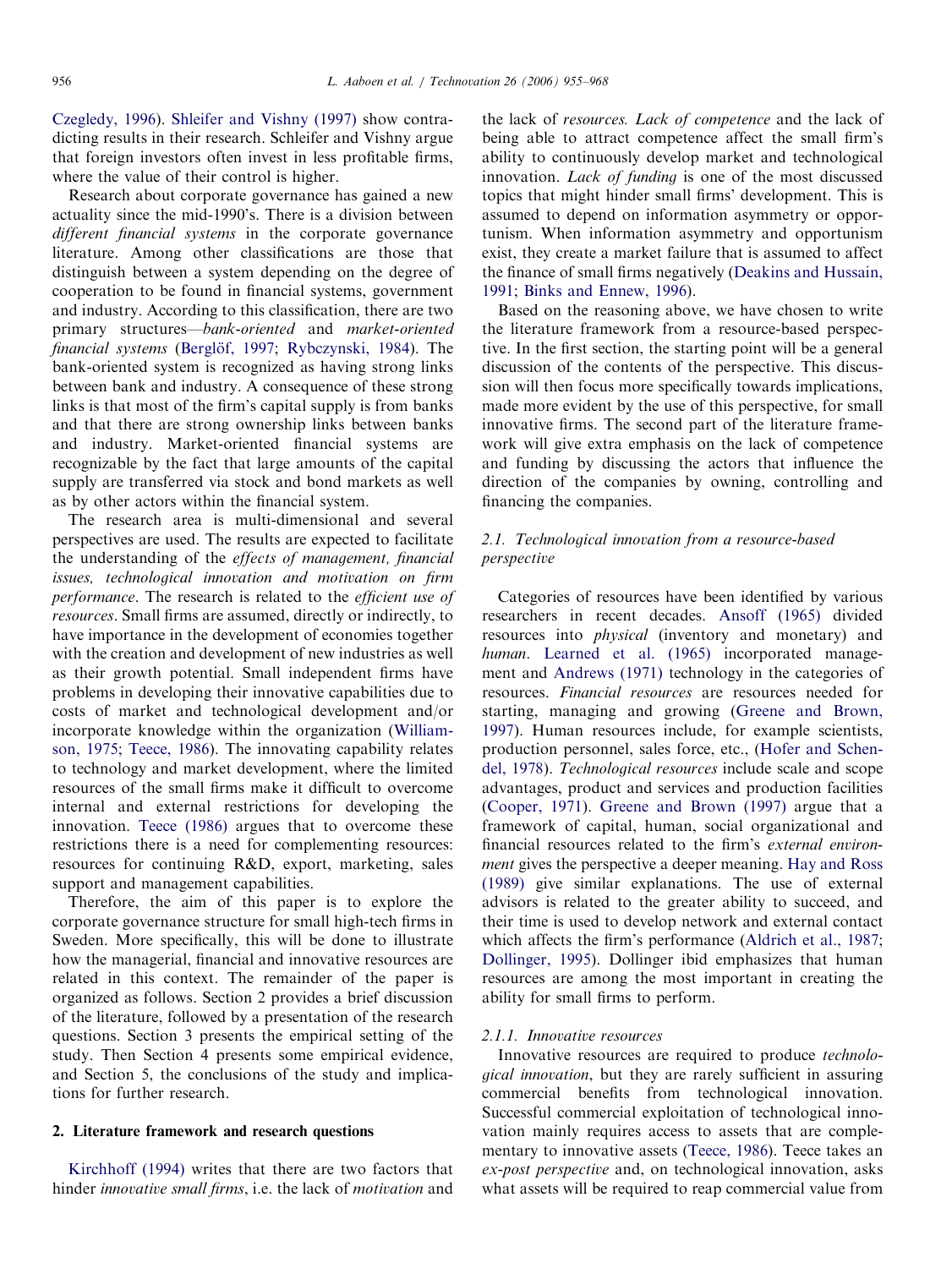[Czegledy, 1996\)](#page--1-0). [Shleifer and Vishny \(1997\)](#page--1-0) show contradicting results in their research. Schleifer and Vishny argue that foreign investors often invest in less profitable firms, where the value of their control is higher.

Research about corporate governance has gained a new actuality since the mid-1990's. There is a division between different financial systems in the corporate governance literature. Among other classifications are those that distinguish between a system depending on the degree of cooperation to be found in financial systems, government and industry. According to this classification, there are two primary structures—bank-oriented and market-oriented financial systems (Berglöf, 1997; [Rybczynski, 1984](#page--1-0)). The bank-oriented system is recognized as having strong links between bank and industry. A consequence of these strong links is that most of the firm's capital supply is from banks and that there are strong ownership links between banks and industry. Market-oriented financial systems are recognizable by the fact that large amounts of the capital supply are transferred via stock and bond markets as well as by other actors within the financial system.

The research area is multi-dimensional and several perspectives are used. The results are expected to facilitate the understanding of the effects of management, financial issues, technological innovation and motivation on firm performance. The research is related to the efficient use of resources. Small firms are assumed, directly or indirectly, to have importance in the development of economies together with the creation and development of new industries as well as their growth potential. Small independent firms have problems in developing their innovative capabilities due to costs of market and technological development and/or incorporate knowledge within the organization ([William](#page--1-0)[son, 1975](#page--1-0); [Teece, 1986](#page--1-0)). The innovating capability relates to technology and market development, where the limited resources of the small firms make it difficult to overcome internal and external restrictions for developing the innovation. [Teece \(1986\)](#page--1-0) argues that to overcome these restrictions there is a need for complementing resources: resources for continuing R&D, export, marketing, sales support and management capabilities.

Therefore, the aim of this paper is to explore the corporate governance structure for small high-tech firms in Sweden. More specifically, this will be done to illustrate how the managerial, financial and innovative resources are related in this context. The remainder of the paper is organized as follows. Section 2 provides a brief discussion of the literature, followed by a presentation of the research questions. Section 3 presents the empirical setting of the study. Then Section 4 presents some empirical evidence, and Section 5, the conclusions of the study and implications for further research.

### 2. Literature framework and research questions

[Kirchhoff \(1994\)](#page--1-0) writes that there are two factors that hinder *innovative small firms*, i.e. the lack of *motivation* and the lack of resources. Lack of competence and the lack of being able to attract competence affect the small firm's ability to continuously develop market and technological innovation. Lack of funding is one of the most discussed topics that might hinder small firms' development. This is assumed to depend on information asymmetry or opportunism. When information asymmetry and opportunism exist, they create a market failure that is assumed to affect the finance of small firms negatively [\(Deakins and Hussain,](#page--1-0) [1991;](#page--1-0) [Binks and Ennew, 1996\)](#page--1-0).

Based on the reasoning above, we have chosen to write the literature framework from a resource-based perspective. In the first section, the starting point will be a general discussion of the contents of the perspective. This discussion will then focus more specifically towards implications, made more evident by the use of this perspective, for small innovative firms. The second part of the literature framework will give extra emphasis on the lack of competence and funding by discussing the actors that influence the direction of the companies by owning, controlling and financing the companies.

## 2.1. Technological innovation from a resource-based perspective

Categories of resources have been identified by various researchers in recent decades. [Ansoff \(1965\)](#page--1-0) divided resources into physical (inventory and monetary) and human. [Learned et al. \(1965\)](#page--1-0) incorporated management and [Andrews \(1971\)](#page--1-0) technology in the categories of resources. Financial resources are resources needed for starting, managing and growing ([Greene and Brown,](#page--1-0) [1997\)](#page--1-0). Human resources include, for example scientists, production personnel, sales force, etc., ([Hofer and Schen](#page--1-0)[del, 1978](#page--1-0)). Technological resources include scale and scope advantages, product and services and production facilities [\(Cooper, 1971\)](#page--1-0). [Greene and Brown \(1997\)](#page--1-0) argue that a framework of capital, human, social organizational and financial resources related to the firm's external environment gives the perspective a deeper meaning. [Hay and Ross](#page--1-0) [\(1989\)](#page--1-0) give similar explanations. The use of external advisors is related to the greater ability to succeed, and their time is used to develop network and external contact which affects the firm's performance [\(Aldrich et al., 1987](#page--1-0); [Dollinger, 1995\)](#page--1-0). Dollinger ibid emphasizes that human resources are among the most important in creating the ability for small firms to perform.

### 2.1.1. Innovative resources

Innovative resources are required to produce technological innovation, but they are rarely sufficient in assuring commercial benefits from technological innovation. Successful commercial exploitation of technological innovation mainly requires access to assets that are complementary to innovative assets ([Teece, 1986\)](#page--1-0). Teece takes an ex-post perspective and, on technological innovation, asks what assets will be required to reap commercial value from